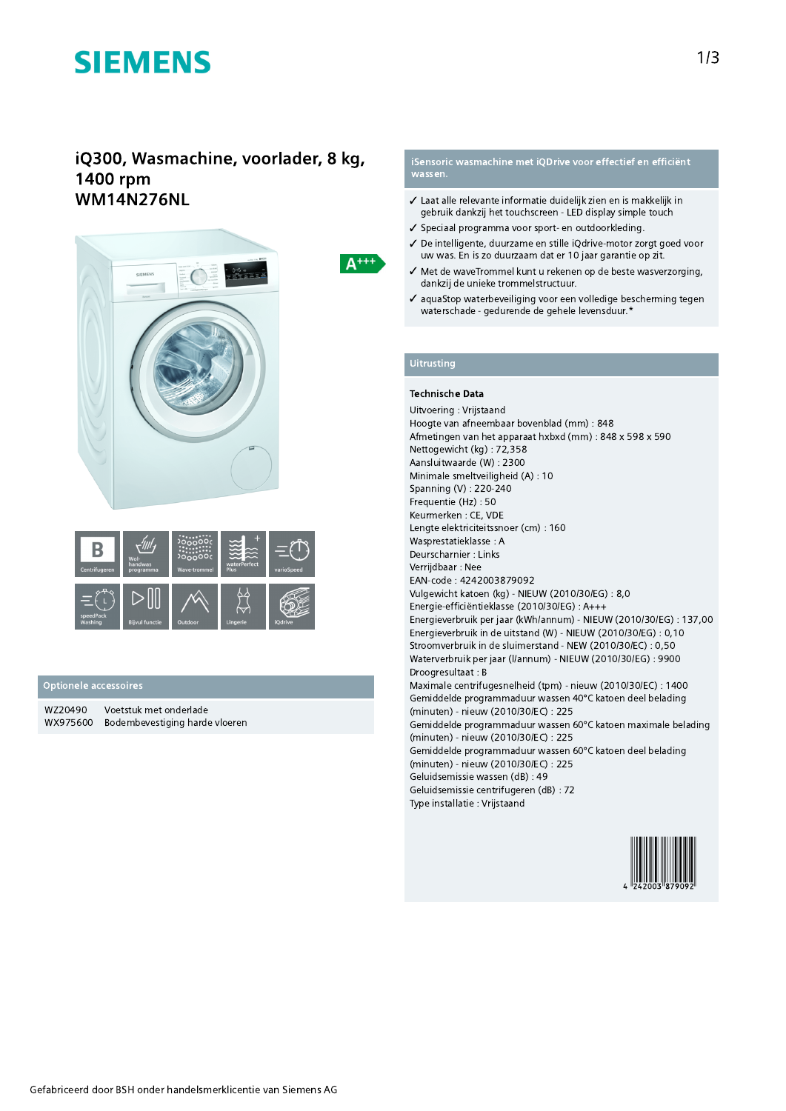# **SIEMENS**

### iQ300, Wasmachine, voorlader, 8 kg, 1400 rpm **WM14N276NL**





#### Optionele accessoires

WZ20490 Voetstuk met onderlade WX975600 Bodembevestiging harde vloeren

#### iSensoric wasmachine met iQDrive voor effectief en efficiënt wassen.

- ✔ Laat alle relevante informatie duidelijk zien en is makkelijk in gebruik dankzij het touchscreen - LED display simple touch
- ✔ Speciaal programma voor sport- en outdoorkleding.
- ✔ De intelligente, duurzame en stille iQdrive-motor zorgt goed voor uw was. En is zo duurzaam dat er 10 jaar garantie op zit.
- √ Met de waveTrommel kunt u rekenen op de beste wasverzorging, dankzij de unieke trommelstructuur.
- ✔ aquaStop waterbeveiliging voor een volledige bescherming tegen waterschade - gedurende de gehele levensduur.\*

 $A^{+++}$ 

#### **Technische Data**

Uitvoering: Vrijstaand Hoogte van afneembaar bovenblad (mm) : 848 Afmetingen van het apparaat hxbxd (mm) : 848 x 598 x 590 Nettogewicht (kg): 72,358 Aansluitwaarde (W): 2300 Minimale smeltveiligheid (A): 10 Spanning (V): 220-240 Frequentie (Hz): 50 Keurmerken: CE, VDE Lengte elektriciteitssnoer (cm): 160 Wasprestatieklasse: A Deurscharnier : Links Verrijdbaar: Nee EAN-code: 4242003879092 Vulgewicht katoen (kg) - NIEUW (2010/30/EG) : 8,0 Energie-efficiëntieklasse (2010/30/EG) : A+++ Energieverbruik per jaar (kWh/annum) - NIEUW (2010/30/EG) : 137,00 Energieverbruik in de uitstand (W) - NIEUW (2010/30/EG) : 0,10 Stroomverbruik in de sluimerstand - NEW (2010/30/EC) : 0,50 Waterverbruik per jaar (I/annum) - NIEUW (2010/30/EG) : 9900 Droogresultaat: B Maximale centrifugesnelheid (tpm) - nieuw (2010/30/EC) : 1400 Gemiddelde programmaduur wassen 40°C katoen deel belading (minuten) - nieuw (2010/30/EC) : 225 Gemiddelde programmaduur wassen 60°C katoen maximale belading (minuten) - nieuw (2010/30/EC) : 225 Gemiddelde programmaduur wassen 60°C katoen deel belading (minuten) - nieuw (2010/30/EC) : 225 Geluidsemissie wassen (dB): 49 Geluidsemissie centrifugeren (dB): 72 Type installatie : Vrijstaand

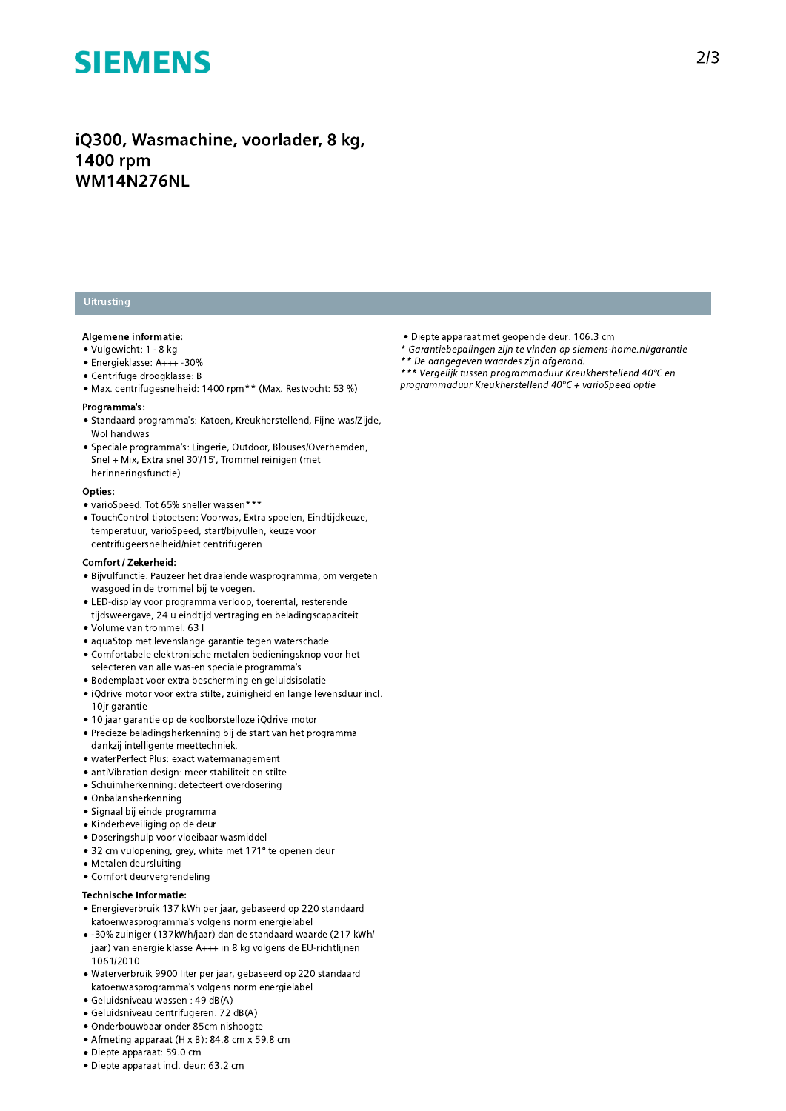### **SIEMENS**

iQ300, Wasmachine, voorlader, 8 kg, 1400 rpm **WM14N276NL** 

### Uitrusting

#### Algemene informatie:

- · Vulgewicht: 1 8 kg
- · Energieklasse: A+++ -30%
- · Centrifuge droogklasse: B
- Max. centrifugesnelheid: 1400 rpm\*\* (Max. Restvocht: 53 %)

#### Programma's:

- · Standaard programma's: Katoen, Kreukherstellend, Fijne was/Zijde, Wol handwas
- · Speciale programma's: Lingerie, Outdoor, Blouses/Overhemden, Snel + Mix, Extra snel 30'/15', Trommel reinigen (met herinneringsfunctie)

#### Opties:

- varioSpeed: Tot 65% sneller wassen\*\*\*
- · TouchControl tiptoetsen: Voorwas, Extra spoelen, Eindtijdkeuze, temperatuur, varioSpeed, start/bijvullen, keuze voor centrifugeersnelheid/niet centrifugeren

#### Comfort / Zekerheid:

- · Bijvulfunctie: Pauzeer het draaiende wasprogramma, om vergeten wasgoed in de trommel bij te voegen.
- LED-display voor programma verloop, toerental, resterende tijdsweergave, 24 u eindtijd vertraging en beladingscapaciteit
- . Volume van trommel: 63 l
- · aquaStop met levenslange garantie tegen waterschade
- Comfortabele elektronische metalen bedieningsknop voor het selecteren van alle was-en speciale programma's
- · Bodemplaat voor extra bescherming en geluidsisolatie
- · iQdrive motor voor extra stilte, zuinigheid en lange levensduur incl. 10ir garantie
- 10 jaar garantie op de koolborstelloze jOdrive motor
- · Precieze beladingsherkenning bij de start van het programma dankzij intelligente meettechniek.
- · waterPerfect Plus: exact watermanagement
- · antiVibration design: meer stabiliteit en stilte
- · Schuimherkenning: detecteert overdosering
- · Onbalansherkenning
- · Signaal bij einde programma
- · Kinderbeveiliging op de deur
- · Doseringshulp voor vloeibaar wasmiddel
- 32 cm vulopening, grey, white met 171° te openen deur
- · Metalen deursluiting
- Comfort deurvergrendeling

#### Technische Informatie:

- Energieverbruik 137 kWh per jaar, gebaseerd op 220 standaard katoenwasprogramma's volgens norm energielabel
- -30% zuiniger (137kWh/jaar) dan de standaard waarde (217 kWh/ jaar) van energie klasse A+++ in 8 kg volgens de EU-richtlijnen 1061/2010
- · Waterverbruik 9900 liter per jaar, gebaseerd op 220 standaard katoenwasprogramma's volgens norm energielabel
- · Geluidsniveau wassen: 49 dB(A)
- · Geluidsniveau centrifugeren: 72 dB(A)
- · Onderbouwbaar onder 85cm nishoogte
- Afmeting apparaat (H x B): 84.8 cm x 59.8 cm
- · Diepte apparaat: 59.0 cm
- · Diepte apparaat incl. deur: 63.2 cm
- · Diepte apparaat met geopende deur: 106.3 cm
- \* Garantiebepalingen zijn te vinden op siemens-home.nl/garantie
- \*\* De aangegeven waardes zijn afgerond.
- \*\*\* Vergelijk tussen programmaduur Kreukherstellend 40°C en programmaduur Kreukherstellend 40°C + varioSpeed optie